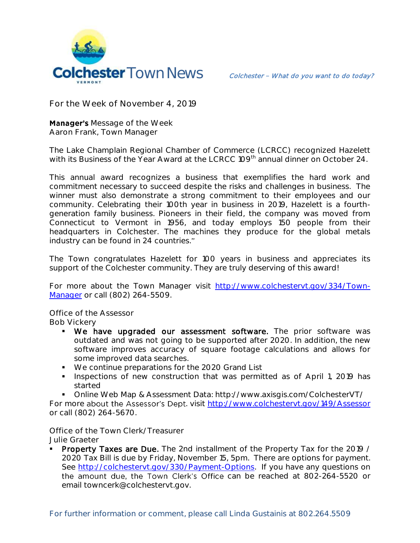

**For the Week of November 4, 2019**

**Manager's** Message of the Week **Aaron Frank, Town Manager**

The Lake Champlain Regional Chamber of Commerce (LCRCC) recognized Hazelett with its Business of the Year Award at the LCRCC 109<sup>th</sup> annual dinner on October 24.

This annual award recognizes a business that exemplifies the hard work and commitment necessary to succeed despite the risks and challenges in business. The winner must also demonstrate a strong commitment to their employees and our community. Celebrating their 100th year in business in 2019, Hazelett is a fourthgeneration family business. Pioneers in their field, the company was moved from Connecticut to Vermont in 1956, and today employs 150 people from their headquarters in Colchester. The machines they produce for the global metals industry can be found in 24 countries."

The Town congratulates Hazelett for 100 years in business and appreciates its support of the Colchester community. They are truly deserving of this award!

For more about the Town Manager visit [http://www.colchestervt.gov/334/Town-](http://www.colchestervt.gov/334/Town-Manager)[Manager](http://www.colchestervt.gov/334/Town-Manager) or call (802) 264-5509.

**Office of the Assessor**

**Bob Vickery**

- We have upgraded our assessment software. The prior software was outdated and was not going to be supported after 2020. In addition, the new software improves accuracy of square footage calculations and allows for some improved data searches.
- We continue preparations for the 2020 Grand List
- **Inspections of new construction that was permitted as of April 1, 2019 has** started
- Online Web Map & Assessment Data: http://www.axisgis.com/ColchesterVT/

For more about the Assessor's Dept. visit<http://www.colchestervt.gov/149/Assessor> or call (802) 264-5670.

**Office of the Town Clerk/Treasurer Julie Graeter**

 Property Taxes are Due. The 2nd installment of the Property Tax for the 2019 / 2020 Tax Bill is due by Friday, November 15, 5pm. There are options for payment. See [http://colchestervt.gov/330/Payment-Options.](http://colchestervt.gov/330/Payment-Options) If you have any questions on the amount due, the Town Clerk's Office can be reached at 802-264-5520 or email towncerk@colchestervt.gov.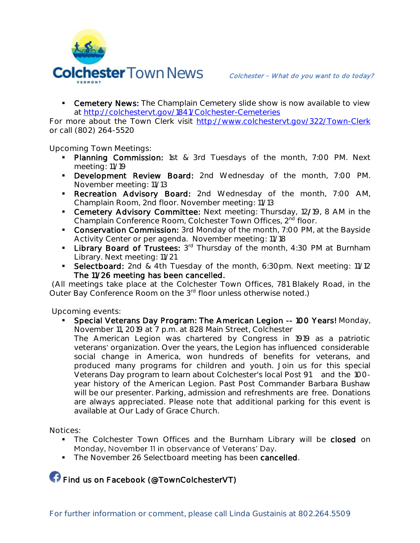

**Cemetery News:** The Champlain Cemetery slide show is now available to view at<http://colchestervt.gov/1841/Colchester-Cemeteries>

For more about the Town Clerk visit <http://www.colchestervt.gov/322/Town-Clerk> or call (802) 264-5520

**Upcoming Town Meetings:** 

- Planning Commission: 1st & 3rd Tuesdays of the month, 7:00 PM. Next meeting: 11/19
- **Development Review Board:** 2nd Wednesday of the month, 7:00 PM. November meeting: 11/13
- **Recreation Advisory Board:** 2nd Wednesday of the month, 7:00 AM, Champlain Room, 2nd floor. November meeting: 11/13
- Cemetery Advisory Committee: Next meeting: Thursday, 12/19, 8 AM in the Champlain Conference Room, Colchester Town Offices, 2<sup>nd</sup> floor.
- **Conservation Commission:** 3rd Monday of the month, 7:00 PM, at the Bayside Activity Center or per agenda. November meeting: 11/18
- **Library Board of Trustees:**  $3^{rd}$  Thursday of the month, 4:30 PM at Burnham Library. Next meeting: 11/21
- Selectboard: 2nd & 4th Tuesday of the month, 6:30pm. Next meeting: 11/12 The 11/26 meeting has been cancelled.

(All meetings take place at the Colchester Town Offices, 781 Blakely Road, in the Outer Bay Conference Room on the 3<sup>rd</sup> floor unless otherwise noted.)

**Upcoming events:**

 Special Veterans Day Program: The American Legion -- 100 Years! Monday, November 11, 2019 at 7 p.m. at 828 Main Street, Colchester

The American Legion was chartered by Congress in 1919 as a patriotic veterans' organization. Over the years, the Legion has influenced considerable social change in America, won hundreds of benefits for veterans, and produced many programs for children and youth. Join us for this special Veterans Day program to learn about Colchester's local Post 91 and the 100 year history of the American Legion. Past Post Commander Barbara Bushaw will be our presenter. Parking, admission and refreshments are free. Donations are always appreciated. Please note that additional parking for this event is available at Our Lady of Grace Church.

**Notices:**

- The Colchester Town Offices and the Burnham Library will be closed on Monday, November 11 in observance of Veterans' Day.
- The November 26 Selectboard meeting has been cancelled.

## Find us on Facebook (@TownColchesterVT)